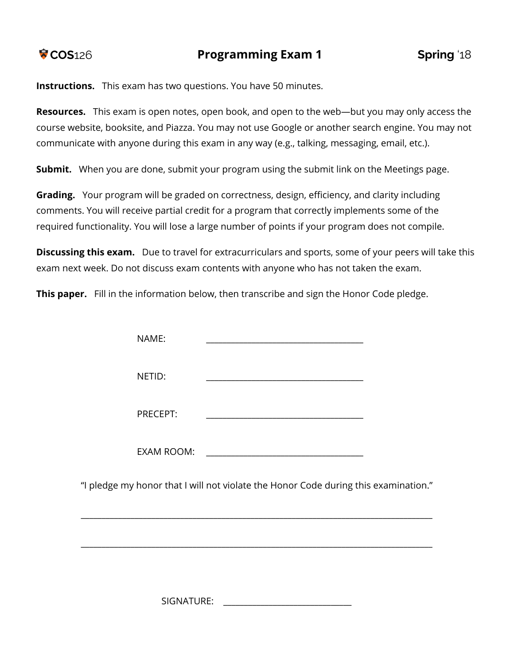**Instructions.** This exam has two questions. You have 50 minutes.

**Resources.** This exam is open notes, open book, and open to the web—but you may only access the course website, booksite, and Piazza. You may not use Google or another search engine. You may not communicate with anyone during this exam in any way (e.g., talking, messaging, email, etc.).

**Submit.** When you are done, submit your program using the submit link on the Meetings page.

**Grading.** Your program will be graded on correctness, design, efficiency, and clarity including comments. You will receive partial credit for a program that correctly implements some of the required functionality. You will lose a large number of points if your program does not compile.

**Discussing this exam.** Due to travel for extracurriculars and sports, some of your peers will take this exam next week. Do not discuss exam contents with anyone who has not taken the exam.

**This paper.** Fill in the information below, then transcribe and sign the Honor Code pledge.

| NAME:             |                                                                                     |  |
|-------------------|-------------------------------------------------------------------------------------|--|
| NETID:            |                                                                                     |  |
| PRECEPT:          |                                                                                     |  |
| <b>EXAM ROOM:</b> |                                                                                     |  |
|                   | "I pledge my honor that I will not violate the Honor Code during this examination." |  |

SIGNATURE: \_\_\_\_\_\_\_\_\_\_\_\_\_\_\_\_\_\_\_\_\_\_\_\_\_\_\_\_\_\_\_

\_\_\_\_\_\_\_\_\_\_\_\_\_\_\_\_\_\_\_\_\_\_\_\_\_\_\_\_\_\_\_\_\_\_\_\_\_\_\_\_\_\_\_\_\_\_\_\_\_\_\_\_\_\_\_\_\_\_\_\_\_\_\_\_\_\_\_\_\_\_\_\_\_\_\_\_\_\_\_\_\_\_\_\_\_

\_\_\_\_\_\_\_\_\_\_\_\_\_\_\_\_\_\_\_\_\_\_\_\_\_\_\_\_\_\_\_\_\_\_\_\_\_\_\_\_\_\_\_\_\_\_\_\_\_\_\_\_\_\_\_\_\_\_\_\_\_\_\_\_\_\_\_\_\_\_\_\_\_\_\_\_\_\_\_\_\_\_\_\_\_